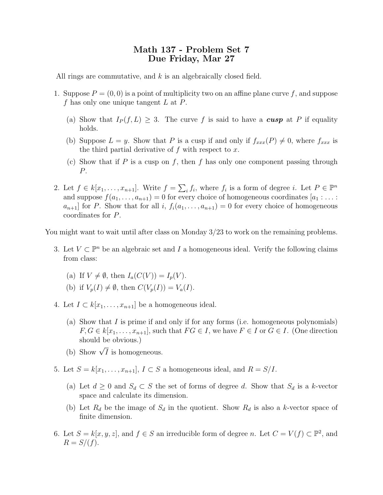## Math 137 - Problem Set 7 Due Friday, Mar 27

All rings are commutative, and k is an algebraically closed field.

- 1. Suppose  $P = (0, 0)$  is a point of multiplicity two on an affine plane curve f, and suppose f has only one unique tangent  $L$  at  $P$ .
	- (a) Show that  $I_P(f, L) \geq 3$ . The curve f is said to have a **cusp** at P if equality holds.
	- (b) Suppose  $L = y$ . Show that P is a cusp if and only if  $f_{xxx}(P) \neq 0$ , where  $f_{xxx}$  is the third partial derivative of  $f$  with respect to  $x$ .
	- (c) Show that if P is a cusp on f, then f has only one component passing through P.
- 2. Let  $f \in k[x_1,\ldots,x_{n+1}]$ . Write  $f = \sum_i f_i$ , where  $f_i$  is a form of degree i. Let  $P \in \mathbb{P}^n$ and suppose  $f(a_1, \ldots, a_{n+1}) = 0$  for every choice of homogeneous coordinates  $[a_1 : \ldots :$  $a_{n+1}$  for P. Show that for all i,  $f_i(a_1, \ldots, a_{n+1}) = 0$  for every choice of homogeneous coordinates for P.

You might want to wait until after class on Monday 3/23 to work on the remaining problems.

- 3. Let  $V \subset \mathbb{P}^n$  be an algebraic set and I a homogeneous ideal. Verify the following claims from class:
	- (a) If  $V \neq \emptyset$ , then  $I_a(C(V)) = I_n(V)$ .
	- (b) if  $V_p(I) \neq \emptyset$ , then  $C(V_p(I)) = V_a(I)$ .
- 4. Let  $I \subset k[x_1,\ldots,x_{n+1}]$  be a homogeneous ideal.
	- (a) Show that I is prime if and only if for any forms (i.e. homogeneous polynomials)  $F, G \in k[x_1, \ldots, x_{n+1}]$ , such that  $FG \in I$ , we have  $F \in I$  or  $G \in I$ . (One direction should be obvious.)
	- (b) Show  $\sqrt{I}$  is homogeneous.
- 5. Let  $S = k[x_1, \ldots, x_{n+1}], I \subset S$  a homogeneous ideal, and  $R = S/I$ .
	- (a) Let  $d \geq 0$  and  $S_d \subset S$  the set of forms of degree d. Show that  $S_d$  is a k-vector space and calculate its dimension.
	- (b) Let  $R_d$  be the image of  $S_d$  in the quotient. Show  $R_d$  is also a k-vector space of finite dimension.
- 6. Let  $S = k[x, y, z]$ , and  $f \in S$  an irreducible form of degree n. Let  $C = V(f) \subset \mathbb{P}^2$ , and  $R = S/(f)$ .